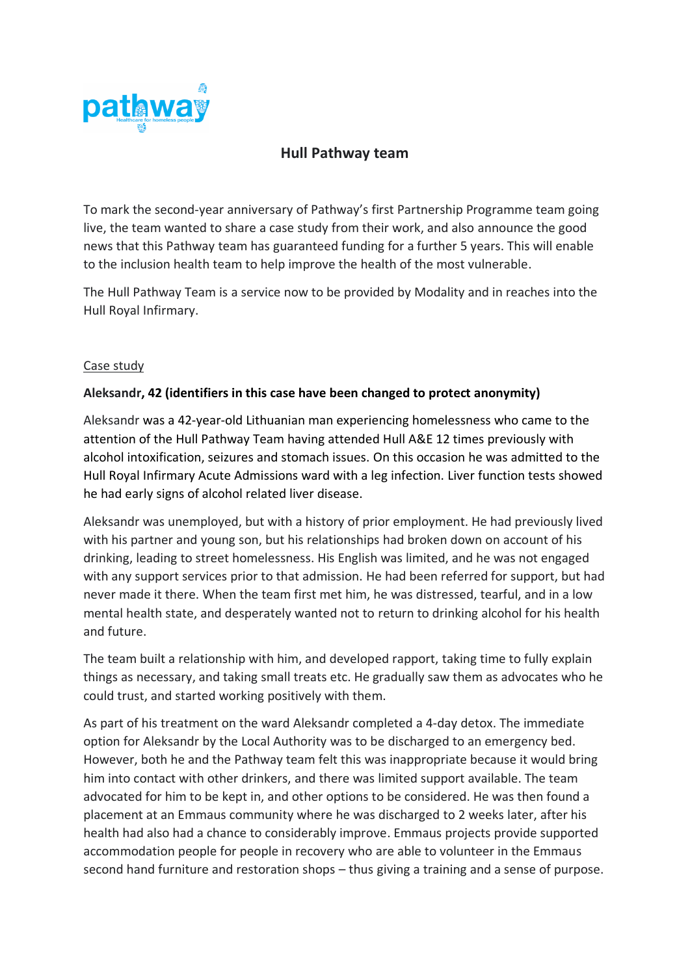

## **Hull Pathway team**

To mark the second-year anniversary of Pathway's first Partnership Programme team going live, the team wanted to share a case study from their work, and also announce the good news that this Pathway team has guaranteed funding for a further 5 years. This will enable to the inclusion health team to help improve the health of the most vulnerable.

The Hull Pathway Team is a service now to be provided by Modality and in reaches into the Hull Royal Infirmary.

## Case study

## **Aleksandr, 42 (identifiers in this case have been changed to protect anonymity)**

Aleksandr was a 42-year-old Lithuanian man experiencing homelessness who came to the attention of the Hull Pathway Team having attended Hull A&E 12 times previously with alcohol intoxification, seizures and stomach issues. On this occasion he was admitted to the Hull Royal Infirmary Acute Admissions ward with a leg infection. Liver function tests showed he had early signs of alcohol related liver disease.

Aleksandr was unemployed, but with a history of prior employment. He had previously lived with his partner and young son, but his relationships had broken down on account of his drinking, leading to street homelessness. His English was limited, and he was not engaged with any support services prior to that admission. He had been referred for support, but had never made it there. When the team first met him, he was distressed, tearful, and in a low mental health state, and desperately wanted not to return to drinking alcohol for his health and future.

The team built a relationship with him, and developed rapport, taking time to fully explain things as necessary, and taking small treats etc. He gradually saw them as advocates who he could trust, and started working positively with them.

As part of his treatment on the ward Aleksandr completed a 4-day detox. The immediate option for Aleksandr by the Local Authority was to be discharged to an emergency bed. However, both he and the Pathway team felt this was inappropriate because it would bring him into contact with other drinkers, and there was limited support available. The team advocated for him to be kept in, and other options to be considered. He was then found a placement at an Emmaus community where he was discharged to 2 weeks later, after his health had also had a chance to considerably improve. Emmaus projects provide supported accommodation people for people in recovery who are able to volunteer in the Emmaus second hand furniture and restoration shops – thus giving a training and a sense of purpose.